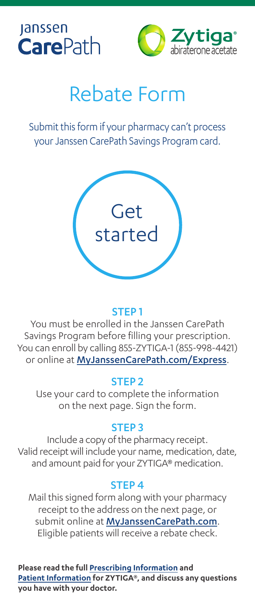



# Rebate Form

Submit this form if your pharmacy can't process your Janssen CarePath Savings Program card.



## STEP 1

You must be enrolled in the Janssen CarePath Savings Program before filling your prescription. You can enroll by calling 855-ZYTIGA-1 (855-998-4421) or online at [MyJanssenCarePath.com/Express](https://www.myjanssencarepath.com/Express).

## STEP 2

Use your card to complete the information on the next page. Sign the form.

## STEP 3

Include a copy of the pharmacy receipt. Valid receipt will include your name, medication, date, and amount paid for your ZYTIGA® medication.

## STEP 4

Mail this signed form along with your pharmacy receipt to the address on the next page, or submit online at [MyJanssenCarePath.com](https://www.myjanssencarepath.com/s/login/SelfRegister?regBy=Self). Eligible patients will receive a rebate check.

**Please read the full [Prescribing Information](https://www.janssenlabels.com/package-insert/product-monograph/prescribing-information/ZYTIGA-pi.pdf) and [Patient Information](https://www.janssenlabels.com/package-insert/product-monograph/prescribing-information/ZYTIGA-pi.pdf#page=10) for ZYTIGA®, and discuss any questions you have with your doctor.**